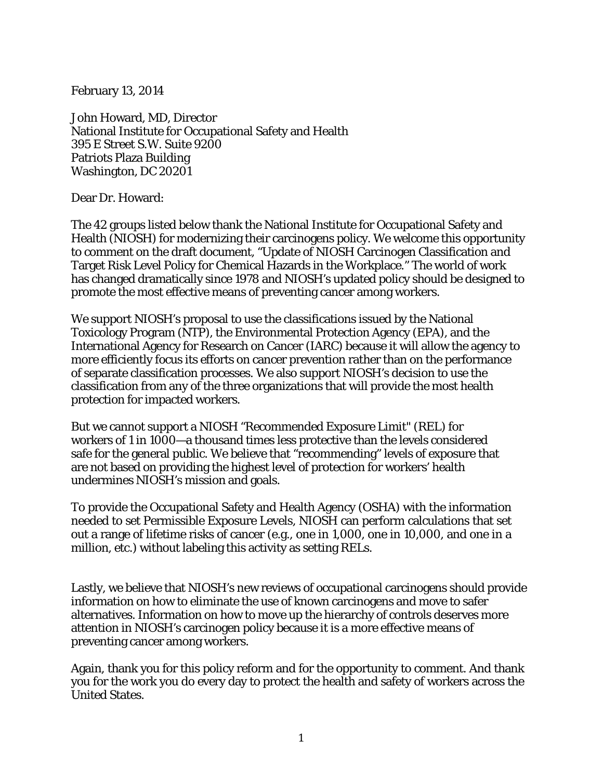February 13, 2014

John Howard, MD, Director National Institute for Occupational Safety and Health 395 E Street S.W. Suite 9200 Patriots Plaza Building Washington, DC 20201

Dear Dr. Howard:

The 42 groups listed below thank the National Institute for Occupational Safety and Health (NIOSH) for modernizing their carcinogens policy. We welcome this opportunity to comment on the draft document, "Update of NIOSH Carcinogen Classification and Target Risk Level Policy for Chemical Hazards in the Workplace." The world of work has changed dramatically since 1978 and NIOSH's updated policy should be designed to promote the most effective means of preventing cancer among workers.

We support NIOSH's proposal to use the classifications issued by the National Toxicology Program (NTP), the Environmental Protection Agency (EPA), and the International Agency for Research on Cancer (IARC) because it will allow the agency to more efficiently focus its efforts on cancer prevention rather than on the performance of separate classification processes. We also support NIOSH's decision to use the classification from any of the three organizations that will provide the most health protection for impacted workers.

But we cannot support a NIOSH "Recommended Exposure Limit" (REL) for workers of 1 in 1000—a thousand times less protective than the levels considered safe for the general public. We believe that "recommending" levels of exposure that are not based on providing the highest level of protection for workers' health undermines NIOSH's mission and goals.

To provide the Occupational Safety and Health Agency (OSHA) with the information needed to set Permissible Exposure Levels, NIOSH can perform calculations that set out a range of lifetime risks of cancer (e.g., one in 1,000, one in 10,000, and one in a million, etc.) without labeling this activity as setting RELs.

Lastly, we believe that NIOSH's new reviews of occupational carcinogens should provide information on how to eliminate the use of known carcinogens and move to safer alternatives. Information on how to move up the hierarchy of controls deserves more attention in NIOSH's carcinogen policy because it is a more effective means of preventing cancer among workers.

Again, thank you for this policy reform and for the opportunity to comment. And thank you for the work you do every day to protect the health and safety of workers across the United States.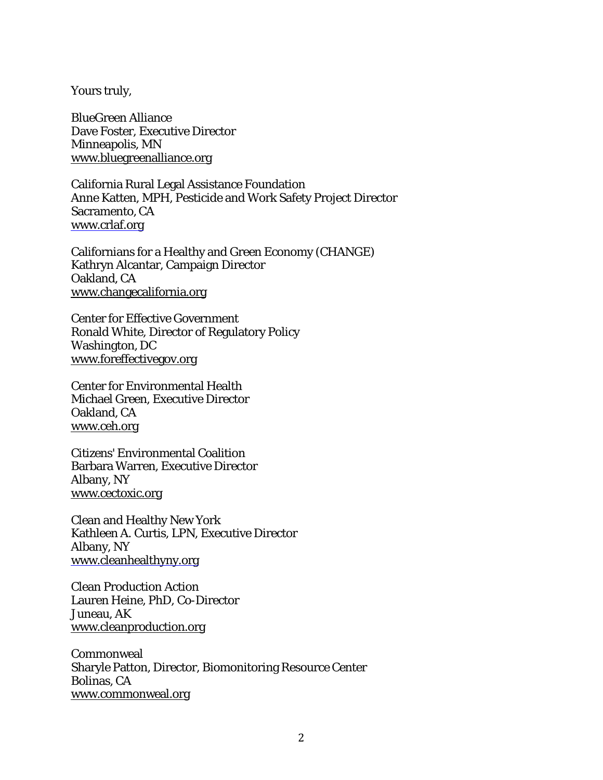Yours truly,

BlueGreen Alliance Dave Foster, Executive Director Minneapolis, MN [www.bluegreenalliance.org](http://www.bluegreenalliance.org/)

California Rural Legal Assistance Foundation Anne Katten, MPH, Pesticide and Work Safety Project Director Sacramento, CA [www.crlaf.org](http://www.crlaf.org/)

Californians for a Healthy and Green Economy (CHANGE) Kathryn Alcantar, Campaign Director Oakland, CA [www.changecalifornia.org](http://www.changecalifornia.org/)

Center for Effective Government Ronald White, Director of Regulatory Policy Washington, DC [www.foreffectivegov.org](http://www.foreffectivegov.org/)

Center for Environmental Health Michael Green, Executive Director Oakland, CA [www.ceh.org](http://www.ceh.org/)

Citizens' Environmental Coalition Barbara Warren, Executive Director Albany, NY [www.cectoxic.org](http://www.cectoxic.org/)

Clean and Healthy New York Kathleen A. Curtis, LPN, Executive Director Albany, NY [www.cleanhealthyny.org](http://www.cleanhealthyny.org/)

Clean Production Action Lauren Heine, PhD, Co-Director Juneau, AK [www.cleanproduction.org](http://www.cleanproduction.org/)

Commonweal Sharyle Patton, Director, Biomonitoring Resource Center Bolinas, CA [www.commonweal.org](http://www.commonweal.org/)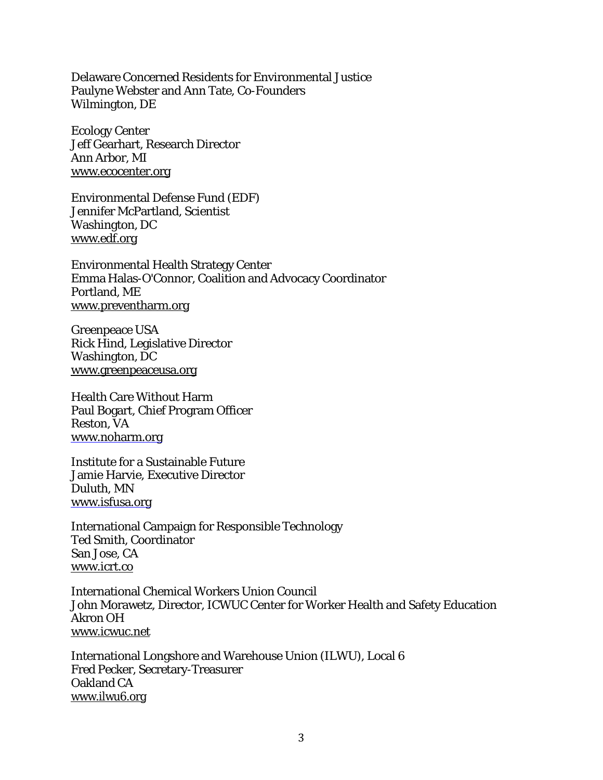Delaware Concerned Residents for Environmental Justice Paulyne Webster and Ann Tate, Co-Founders Wilmington, DE

Ecology Center Jeff Gearhart, Research Director Ann Arbor, MI [www.ecocenter.org](http://www.ecocenter.org/)

Environmental Defense Fund (EDF) Jennifer McPartland, Scientist Washington, DC [www.edf.org](http://www.edf.org/)

Environmental Health Strategy Center Emma Halas-O'Connor, Coalition and Advocacy Coordinator Portland, ME [www.preventharm.org](http://www.preventharm.org/)

Greenpeace USA Rick Hind, Legislative Director Washington, DC [www.greenpeaceusa.org](http://www.greenpeaceusa.org/)

Health Care Without Harm Paul Bogart, Chief Program Officer Reston, VA [www.noharm.org](http://www.noharm.org/)

Institute for a Sustainable Future Jamie Harvie, Executive Director Duluth, MN [www.isfusa.org](http://www.isfusa.org/)

International Campaign for Responsible Technology Ted Smith, Coordinator San Jose, CA [www.icrt.co](http://www.icrt.co/)

International Chemical Workers Union Council John Morawetz, Director, ICWUC Center for Worker Health and Safety Education Akron OH [www.icwuc.net](http://www.icwuc.net/)

International Longshore and Warehouse Union (ILWU), Local 6 Fred Pecker, Secretary-Treasurer Oakland CA [www.ilwu6.org](http://www.ilwu6.org/)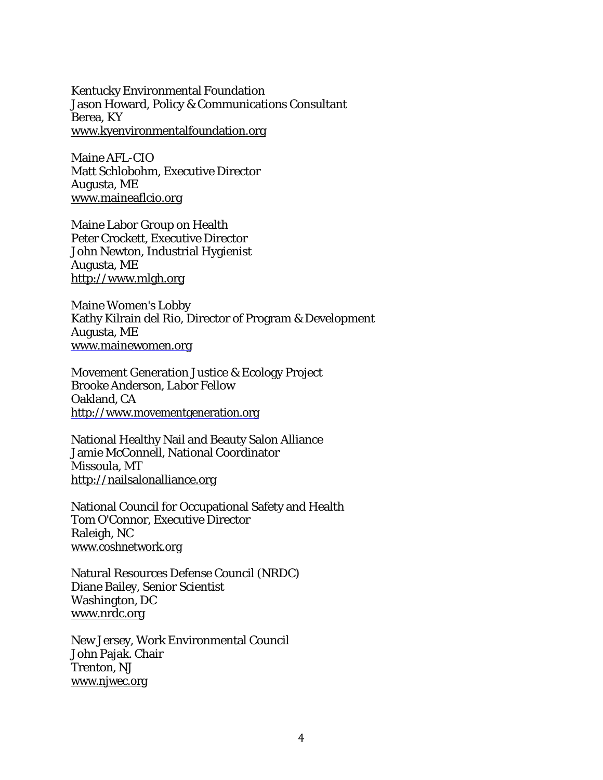Kentucky Environmental Foundation Jason Howard, Policy & Communications Consultant Berea, KY [www.kyenvironmentalfoundation.org](http://www.kyenvironmentalfoundation.org/)

Maine AFL-CIO Matt Schlobohm, Executive Director Augusta, ME [www.maineaflcio.org](http://www.maineaflcio.org/)

Maine Labor Group on Health Peter Crockett, Executive Director John Newton, Industrial Hygienist Augusta, ME [http://www.mlgh.org](http://www.mlgh.org/)

Maine Women's Lobby Kathy Kilrain del Rio, Director of Program & Development Augusta, ME [www.mainewomen.org](http://www.mainewomen.org/)

Movement Generation Justice & Ecology Project Brooke Anderson, Labor Fellow Oakland, CA [http://www.movementgeneration.org](http://www.movementgeneration.org/)

National Healthy Nail and Beauty Salon Alliance Jamie McConnell, National Coordinator Missoula, MT [http://nailsalonalliance.org](http://nailsalonalliance.org/)

National Council for Occupational Safety and Health Tom O'Connor, Executive Director Raleigh, NC [www.coshnetwork.org](http://www.coshnetwork.org/)

Natural Resources Defense Council (NRDC) Diane Bailey, Senior Scientist Washington, DC [www.nrdc.org](http://www.nrdc.org/)

New Jersey, Work Environmental Council John Pajak. Chair Trenton, NJ [www.njwec.org](http://www.njwec.org/)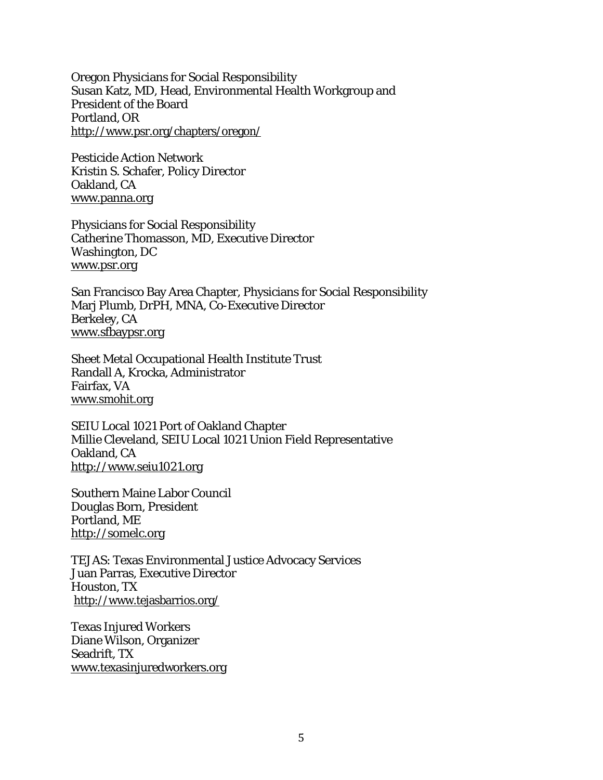Oregon Physicians for Social Responsibility Susan Katz, MD, Head, Environmental Health Workgroup and President of the Board Portland, OR <http://www.psr.org/chapters/oregon/>

Pesticide Action Network Kristin S. Schafer, Policy Director Oakland, CA [www.panna.org](http://www.panna.org/)

Physicians for Social Responsibility Catherine Thomasson, MD, Executive Director Washington, DC [www.psr.org](http://www.psr.org/)

San Francisco Bay Area Chapter, Physicians for Social Responsibility Marj Plumb, DrPH, MNA, Co-Executive Director Berkeley, CA [www.sfbaypsr.org](http://www.sfbaypsr.org/)

Sheet Metal Occupational Health Institute Trust Randall A, Krocka, Administrator Fairfax, VA [www.smohit.org](http://www.smohit.org/)

SEIU Local 1021 Port of Oakland Chapter Millie Cleveland, SEIU Local 1021 Union Field Representative Oakland, CA [http://www.seiu1021.org](http://www.seiu1021.org/)

Southern Maine Labor Council Douglas Born, President Portland, ME [http://somelc.org](http://somelc.org/)

TEJAS: Texas Environmental Justice Advocacy Services Juan Parras, Executive Director Houston, TX <http://www.tejasbarrios.org/>

Texas Injured Workers Diane Wilson, Organizer Seadrift, TX [www.texasinjuredworkers.org](http://www.texasinjuredworkers.org/)